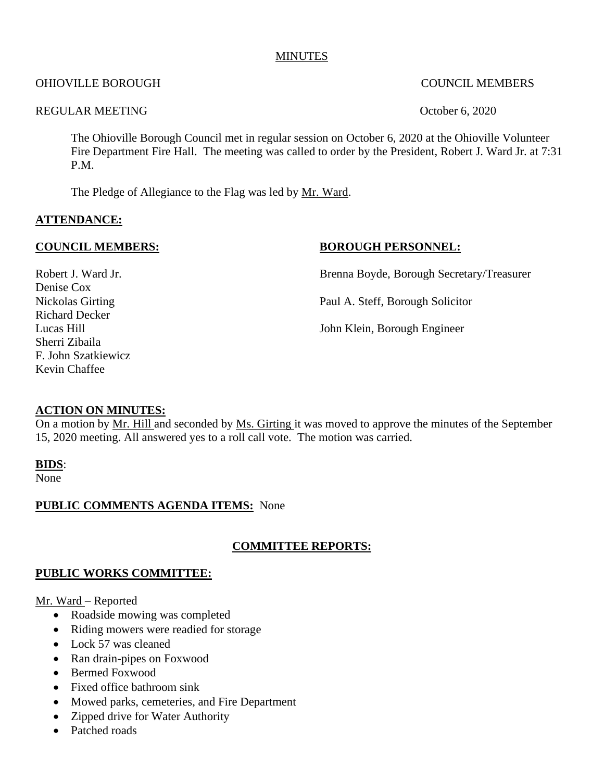## **MINUTES**

## OHIOVILLE BOROUGH COUNCIL MEMBERS

## REGULAR MEETING CONSTRUCTED AND COMMON CONSTRUCTED AND COMMON CONSTRUCTED ASSESSMENT OF THE SECOND OCTOBER 1990

The Ohioville Borough Council met in regular session on October 6, 2020 at the Ohioville Volunteer Fire Department Fire Hall. The meeting was called to order by the President, Robert J. Ward Jr. at 7:31 P.M.

The Pledge of Allegiance to the Flag was led by Mr. Ward.

# **ATTENDANCE:**

## **COUNCIL MEMBERS:** BOROUGH PERSONNEL:

Robert J. Ward Jr. **Brenna Boyde, Borough Secretary/Treasurer** 

Nickolas Girting Paul A. Steff, Borough Solicitor

Lucas Hill John Klein, Borough Engineer

# **ACTION ON MINUTES:**

On a motion by Mr. Hill and seconded by Ms. Girting it was moved to approve the minutes of the September 15, 2020 meeting. All answered yes to a roll call vote. The motion was carried.

## **BIDS**:

None

## **PUBLIC COMMENTS AGENDA ITEMS:** None

# **COMMITTEE REPORTS:**

## **PUBLIC WORKS COMMITTEE:**

## Mr. Ward – Reported

- Roadside mowing was completed
- Riding mowers were readied for storage
- Lock 57 was cleaned
- Ran drain-pipes on Foxwood
- Bermed Foxwood
- Fixed office bathroom sink
- Mowed parks, cemeteries, and Fire Department
- Zipped drive for Water Authority
- Patched roads

Denise Cox Richard Decker Sherri Zibaila F. John Szatkiewicz Kevin Chaffee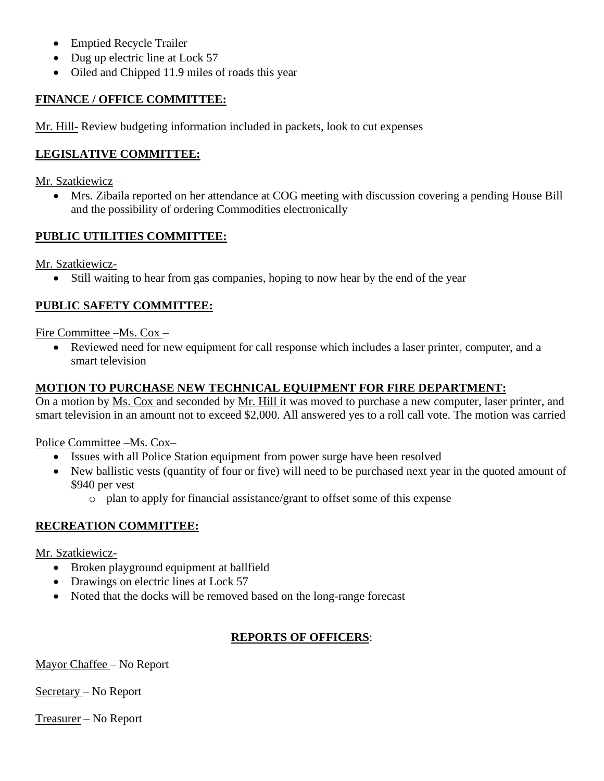- Emptied Recycle Trailer
- Dug up electric line at Lock 57
- Oiled and Chipped 11.9 miles of roads this year

# **FINANCE / OFFICE COMMITTEE:**

Mr. Hill- Review budgeting information included in packets, look to cut expenses

# **LEGISLATIVE COMMITTEE:**

Mr. Szatkiewicz –

• Mrs. Zibaila reported on her attendance at COG meeting with discussion covering a pending House Bill and the possibility of ordering Commodities electronically

# **PUBLIC UTILITIES COMMITTEE:**

Mr. Szatkiewicz-

• Still waiting to hear from gas companies, hoping to now hear by the end of the year

# **PUBLIC SAFETY COMMITTEE:**

# Fire Committee –Ms. Cox –

• Reviewed need for new equipment for call response which includes a laser printer, computer, and a smart television

# **MOTION TO PURCHASE NEW TECHNICAL EQUIPMENT FOR FIRE DEPARTMENT:**

On a motion by Ms. Cox and seconded by Mr. Hill it was moved to purchase a new computer, laser printer, and smart television in an amount not to exceed \$2,000. All answered yes to a roll call vote. The motion was carried

Police Committee –Ms. Cox–

- Issues with all Police Station equipment from power surge have been resolved
- New ballistic vests (quantity of four or five) will need to be purchased next year in the quoted amount of \$940 per vest
	- o plan to apply for financial assistance/grant to offset some of this expense

# **RECREATION COMMITTEE:**

Mr. Szatkiewicz-

- Broken playground equipment at ballfield
- Drawings on electric lines at Lock 57
- Noted that the docks will be removed based on the long-range forecast

# **REPORTS OF OFFICERS**:

Mayor Chaffee – No Report

Secretary – No Report

Treasurer – No Report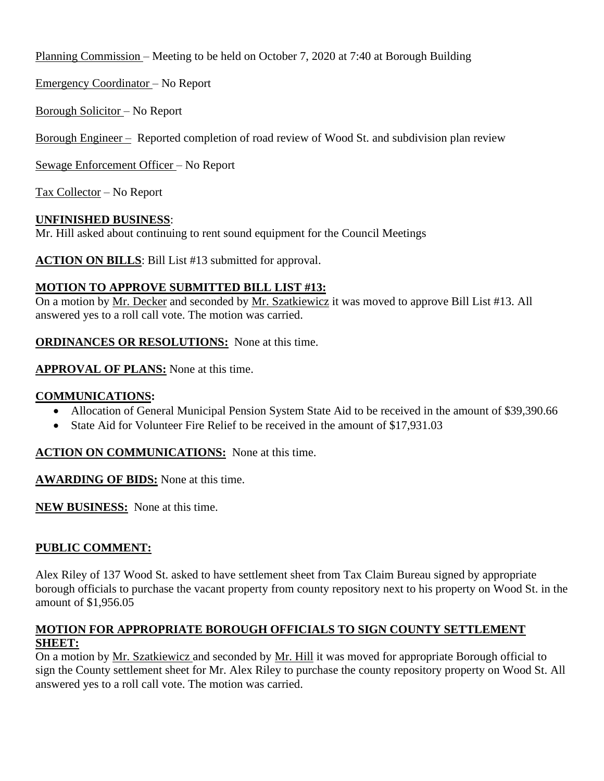Planning Commission – Meeting to be held on October 7, 2020 at 7:40 at Borough Building

Emergency Coordinator – No Report

Borough Solicitor – No Report

Borough Engineer – Reported completion of road review of Wood St. and subdivision plan review

Sewage Enforcement Officer – No Report

Tax Collector – No Report

# **UNFINISHED BUSINESS**:

Mr. Hill asked about continuing to rent sound equipment for the Council Meetings

**ACTION ON BILLS**: Bill List #13 submitted for approval.

# **MOTION TO APPROVE SUBMITTED BILL LIST #13:**

On a motion by Mr. Decker and seconded by Mr. Szatkiewicz it was moved to approve Bill List #13. All answered yes to a roll call vote. The motion was carried.

**ORDINANCES OR RESOLUTIONS:** None at this time.

**APPROVAL OF PLANS:** None at this time.

# **COMMUNICATIONS:**

- Allocation of General Municipal Pension System State Aid to be received in the amount of \$39,390.66
- State Aid for Volunteer Fire Relief to be received in the amount of \$17,931.03

**ACTION ON COMMUNICATIONS:** None at this time.

**AWARDING OF BIDS:** None at this time.

**NEW BUSINESS:** None at this time.

# **PUBLIC COMMENT:**

Alex Riley of 137 Wood St. asked to have settlement sheet from Tax Claim Bureau signed by appropriate borough officials to purchase the vacant property from county repository next to his property on Wood St. in the amount of \$1,956.05

## **MOTION FOR APPROPRIATE BOROUGH OFFICIALS TO SIGN COUNTY SETTLEMENT SHEET:**

On a motion by Mr. Szatkiewicz and seconded by Mr. Hill it was moved for appropriate Borough official to sign the County settlement sheet for Mr. Alex Riley to purchase the county repository property on Wood St. All answered yes to a roll call vote. The motion was carried.